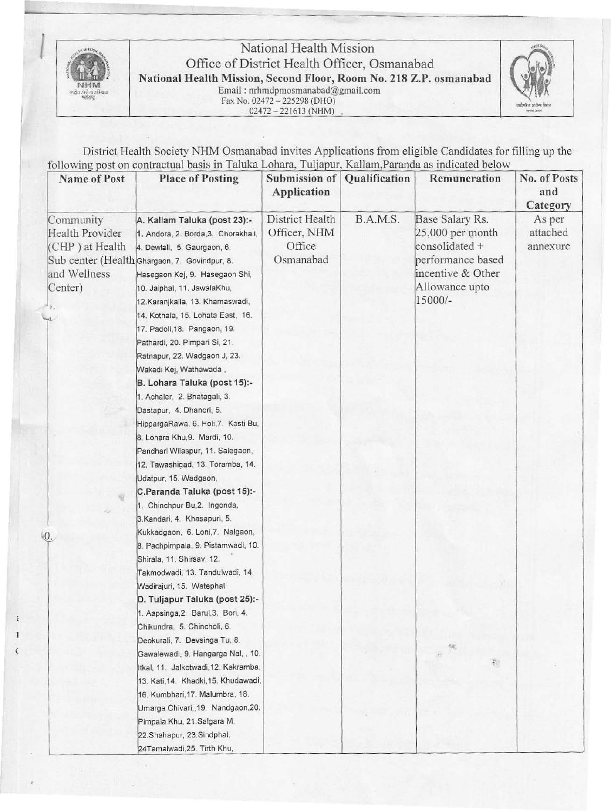

l

ź

# National Health Mission<br>
Office of District Health Officer, Osmanabad<br>
National Health Mission, Second Floor, Room No. 218 Z.P. osmanabad<br>
Email: nrhmdpmosmanabad@gmail.com

n\$ l~.,i!l!a Email : nrhmdpmosmanabad@gmail.com ~ Fax No. 024 72 - 225298 (DHO) ............ r.... 02472 - 221613(NHM) , --



District Health Society NHM Osmanabad invites Applications from eligible Candidates for filling up the following post on contractual basis in Taluka Lohara, Tuljapur, Kallam, Paranda as indicated below

| <b>Name of Post</b>                                                                                      | <b>Place of Posting</b>                                                                                                                                                                                                                                                                                                                                                                                                                                                                                                                                                                                                                                                                                                                                      | Submission of<br>Application                           | Qualification | Remuneration                                                                                                                 | No. of Posts<br>and<br>Category |
|----------------------------------------------------------------------------------------------------------|--------------------------------------------------------------------------------------------------------------------------------------------------------------------------------------------------------------------------------------------------------------------------------------------------------------------------------------------------------------------------------------------------------------------------------------------------------------------------------------------------------------------------------------------------------------------------------------------------------------------------------------------------------------------------------------------------------------------------------------------------------------|--------------------------------------------------------|---------------|------------------------------------------------------------------------------------------------------------------------------|---------------------------------|
| Community<br>Health Provider<br>(CHP) at Health<br>and Wellness<br>Center)<br>$\mathcal{F}_{\mathbf{a}}$ | A. Kallam Taluka (post 23):-<br>1. Andora, 2. Borda, 3. Chorakhali,<br>4. Dewlali, 5. Gaurgaon, 6.<br>Sub center (Health Ghargaon, 7. Govindpur, 8.<br>Hasegaon Kej, 9. Hasegaon Shi,<br>10. Jaiphal, 11. JawalaKhu,<br>12. Karanjkalla, 13. Khamaswadi,<br>14. Kothala, 15. Lohata East, 16.<br>17. Padoli, 18. Pangaon, 19.<br>Pathardi, 20. Pimpari Si, 21.<br>Ratnapur, 22. Wadgaon J, 23.<br>Wakadi Kej, Wathawada,<br>B. Lohara Taluka (post 15):-<br>1. Achaler, 2. Bhatagali, 3.<br>Dastapur, 4. Dhanori, 5.<br>HippargaRawa, 6. Holi, 7. Kasti Bu,<br>8. Lohara Khu, 9. Mardi, 10.<br>Pandhari Wilaspur, 11. Salegaon,<br>12. Tawashigad, 13. Toramba, 14.<br>Udatpur, 15. Wadgaon,<br>C.Paranda Taluka (post 15):-<br>1. Chinchpur Bu, 2. Ingonda, | District Health<br>Officer, NHM<br>Office<br>Osmanabad | B.A.M.S.      | Base Salary Rs.<br>25,000 per month<br>consolidated +<br>performance based<br>incentive & Other<br>Allowance upto<br>15000/- | As per<br>attached<br>annexure  |
| $Q_{\cdot}$                                                                                              | 3. Kandari, 4. Khasapuri, 5.<br>Kukkadgaon, 6. Loni, 7. Nalgaon,<br>8. Pachpimpala, 9. Pistamwadi, 10.<br>Shirala, 11. Shirsav, 12.<br>Takmodwadi, 13. Tandulwadi, 14.<br>Wadirajuri, 15. Watephal,<br>D. Tuljapur Taluka (post 25):-<br>1. Aapsinga, 2. Barul, 3. Bori, 4.<br>Chikundra, 5. Chincholi, 6.<br>Deokurali, 7. Devsinga Tu, 8.<br>Gawalewadi, 9. Hangarga Nal, , 10.<br>Itkal, 11. Jalkotwadi, 12. Kakramba,<br>13. Kati, 14. Khadki, 15. Khudawadi,<br>16. Kumbhari, 17. Malumbra, 18.<br>Umarga Chivari, 19. Nandgaon, 20.<br>Pimpala Khu, 21.Salgara M,<br>22.Shahapur, 23.Sindphal,<br>24Tamalwadi, 25. Tirth Khu,                                                                                                                          |                                                        |               | ŧ.                                                                                                                           |                                 |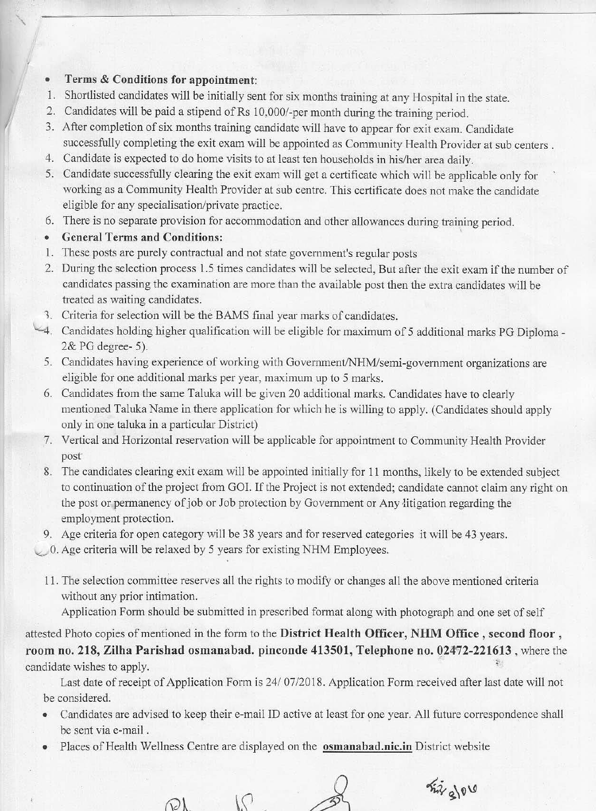### • **Terms & Conditions for appointment:**

- 1. Shortlisted candidates will be initially sent for six months training at any Hospital in the state.
- 2. Candidates will be paid a stipend of Rs 10,000/-per month during the training period.
- 3. After completion of six months training candidate will have to appear for exit exam. Candidate successfully completing the exit exam will be appointed as Community Health Provider at sub centers .
- 4. Candidate is expected to do home visits to at least ten households in his/her area daily.
- 5. Candidate successfully clearing the exit exam will get a certificate which will be applicable only for working as a Community Health Provider at sub centre. This certificate does not make the candidate eligible for any specialisation/private practice.
- 6. There is no separate provision for accommodation and other allowances during training period.
- **General Terms and Conditions:**
- 1. These posts are purely contractual and not state government's regular posts
- 2. During the selection process 1.5 times candidates will be selected, But after the exit exam if the number of candidates passing the examination are more than the available post then the extra candidates will be treated as waiting candidates.
- 1. Criteria for selection will be the BAMS final year marks of candidates.
- \..\_4. Candidates holding higher qualification will be eligible for maximum of 5 additional marks PG Diploma 2& PG degree- 5).
	- 5. Candidates having experience of working with Government/NHM/semi-government organizations are eligible for one additional marks per year, maximum up to 5 marks.
	- 6. Candidates from the same Taluka will be given 20 additional marks. Candidates have to clearly mentioned Taluka Name in there application for which he is willing to apply. (Candidates should apply only in one taluka in a particular District)
	- 7. Vertical and Horizontal reservation will be applicable for appointment to Community Health Provider post"
	- 8. The candidates clearing exit exam will be appointed initially for 11 months, likely to be extended subject to continuation of the project from GOI. If the Project is not extended; candidate cannot claim any right on the post or permanency of job or Job protection by Government or Any litigation regarding the employment protection.

9. Age criteria for open category will be 38 years and for reserved categories it will be 43 years.

 $\bigcup$  0. Age criteria will be relaxed by 5 years for existing NHM Employees.

11. The selection committee reserves all the rights to modify or changes all the above mentioned criteria without any prior intimation.

Application Form should be submitted in prescribed format along with photograph and one set of self

attested Photo copies of mentioned in the form to the **District Health Officer, NHM Office , second floor** , **room no. 218, Zilha Parishad osmanabad. pinconde 413501, Telephone no. 02472-221613**, where the candidate wishes to apply.

Last date of receipt of Application Form is 24/ 07/2018. Application Form received after last date will not be considered.

- Candidates are advised to keep their e-mail ID active at least for one year. All future correspondence shall be sent via e-mail .
- Places of Health Wellness Centre are displayed on the **osmanabad.nic.in** District website

 $\mathcal{L}$ 

 $\bigcirc\lambda$ 

 $\frac{1}{2}$  2/00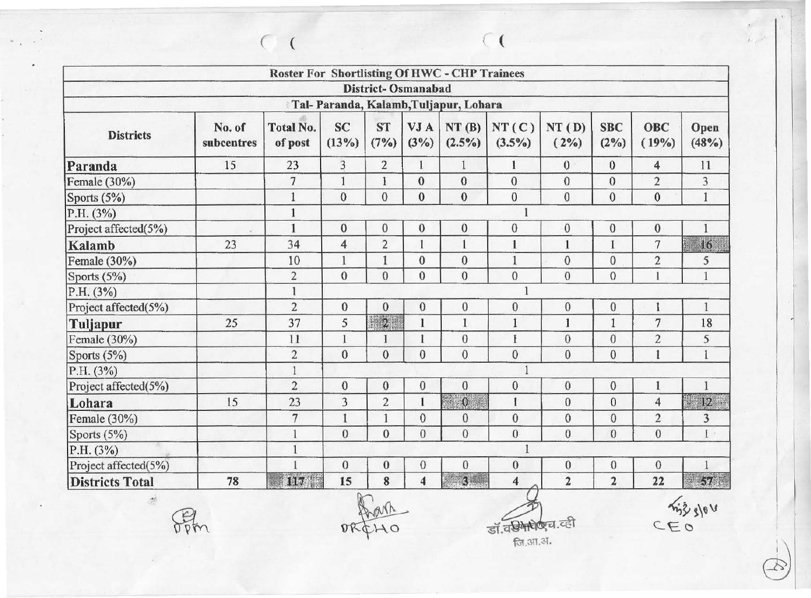|                        |                      | Roster For Shortlisting Of HWC - CHP Trainees |                    |                   |                           |                                       |                         |                  |                       |                         |                         |
|------------------------|----------------------|-----------------------------------------------|--------------------|-------------------|---------------------------|---------------------------------------|-------------------------|------------------|-----------------------|-------------------------|-------------------------|
|                        |                      |                                               |                    |                   | <b>District-Osmanabad</b> |                                       |                         |                  |                       |                         |                         |
|                        |                      |                                               |                    |                   |                           | Tal-Paranda, Kalamb, Tuljapur, Lohara |                         |                  |                       |                         |                         |
| <b>Districts</b>       | No. of<br>subcentres | <b>Total No.</b><br>of post                   | <b>SC</b><br>(13%) | <b>ST</b><br>(7%) | VJ A<br>$(3\%)$           | NT(B)<br>$(2.5\%)$                    | NT(C)<br>$(3.5\%)$      | NT(D)<br>$(2\%)$ | <b>SBC</b><br>$(2\%)$ | <b>OBC</b><br>(19%)     | Open<br>(48%)           |
| Paranda                | 15                   | 23                                            | 3                  | $\overline{2}$    | 1                         | $\mathbf{1}$                          | $\mathbf{1}$            | $\mathbf{0}$     | $\mathbf{0}$          | $\overline{\mathbf{4}}$ | 11                      |
| Female $(30\%)$        |                      | $7\phantom{.}$                                | $\mathbf{1}$       | 1                 | $\mathbf{0}$              | $\mathbf{0}$                          | $\boldsymbol{0}$        | $\mathbf{0}$     | $\mathbf{0}$          | $\overline{2}$          | 3                       |
| Sports (5%)            |                      |                                               | $\mathbf{0}$       | $\mathbf{0}$      | $\mathbf{0}$              | $\bf{0}$                              | $\boldsymbol{0}$        | $\mathbf{0}$     | $\mathbf{0}$          | $\mathbf{0}$            | $\mathbf{1}$            |
| P.H. (3%)              |                      |                                               |                    |                   |                           |                                       |                         |                  |                       |                         |                         |
| Project affected(5%)   |                      | $\mathbf{1}$                                  | $\mathbf{0}$       | $\mathbf{0}$      | $\mathbf{0}$              | $\overline{0}$                        | $\boldsymbol{0}$        | $\mathbf{0}$     | $\bf{0}$              | $\mathbf{0}$            | 1                       |
| Kalamb                 | 23                   | 34                                            | $\overline{4}$     | $\overline{2}$    | $\mathbf{1}$              |                                       | $\mathbf{I}$            | $\mathbf{1}$     | $\mathbf{I}$          | $\tau$                  | 16                      |
| Female (30%)           |                      | 10                                            | $\mathbf{1}$       | 1                 | $\bf{0}$                  | $\boldsymbol{0}$                      | $\mathbf{1}$            | $\mathbf{0}$     | $\mathbf{0}$          | $\overline{2}$          | 5                       |
| Sports (5%)            |                      | $\overline{\mathbf{c}}$                       | $\mathbf{0}$       | $\overline{0}$    | $\mathbf{0}$              | $\mathbf{0}$                          | $\overline{0}$          | $\mathbf{0}$     | $\mathbf{0}$          | 1                       | $\mathbf{1}$            |
| P.H. (3%)              |                      | $\mathbf{1}$                                  |                    |                   |                           |                                       | $\mathbf{1}$            |                  |                       |                         |                         |
| Project affected(5%)   |                      | $\overline{2}$                                | $\boldsymbol{0}$   | $\boldsymbol{0}$  | $\mathbf{0}$              | $\boldsymbol{0}$                      | $\boldsymbol{0}$        | $\boldsymbol{0}$ | $\bf{0}$              | 1                       | $\mathbf{1}$            |
| Tuljapur               | 25                   | 37                                            | 5                  | $\mathbb{Z}^2$    | $\mathbf{I}$              | $\mathbf{1}$                          | $\mathbf{l}$            | $\mathbf{I}$     | $\mathbf{1}$          | $\overline{7}$          | 18                      |
| Female (30%)           |                      | 11                                            | $\mathbf{1}$       |                   |                           | $\boldsymbol{0}$                      | $\overline{1}$          | $\theta$         | $\mathbf{0}$          | $\overline{c}$          | 5                       |
| Sports (5%)            |                      | $\overline{2}$                                | $\overline{0}$     | $\mathbf{0}$      | $\theta$                  | $\overline{0}$                        | $\overline{0}$          | $\mathbf{0}$     | $\overline{0}$        | $\mathbf{1}$            | $\mathbf{I}$            |
| P.H. (3%)              |                      | $\overline{1}$                                |                    |                   |                           |                                       | $\mathbf{1}$            |                  |                       |                         |                         |
| Project affected(5%)   |                      | $\overline{2}$                                | $\bf{0}$           | $\boldsymbol{0}$  | $\theta$                  | $\bf{0}$                              | $\bf{0}$                | $\mathbf{0}$     | $\boldsymbol{0}$      | 1                       | $\mathbf{1}$            |
| Lohara                 | 15                   | 23                                            | 3                  | $\overline{2}$    | $\mathbf{1}$              | $\mathbf{0}$                          | $\mathbf{1}$            | $\overline{0}$   | $\mathbf{0}$          | $\overline{4}$          | 11<br>12                |
| Female (30%)           |                      | $\overline{7}$                                | $\mathbf{1}$       | $\mathbf{1}$      | $\mathbf{0}$              | $\mathbf{0}$                          | $\bf{0}$                | $\mathbf{0}$     | $\overline{0}$        | $\overline{2}$          | $\overline{\mathbf{3}}$ |
| Sports $(5%)$          |                      | $\mathbf{1}$                                  | $\mathbf{0}$       | $\overline{0}$    | $\theta$                  | $\overline{0}$                        | $\overline{0}$          | $\mathbf{0}$     | $\overline{0}$        | $\mathbf{0}$            | $\mathbf{I}$            |
| P.H. (3%)              |                      | $\mathbf{1}$                                  |                    |                   |                           |                                       | 1                       |                  |                       |                         |                         |
| Project affected(5%)   |                      | $\mathbf{1}$                                  | $\mathbf{0}$       | $\boldsymbol{0}$  | $\theta$                  | $\bf{0}$                              | $\boldsymbol{0}$        | $\mathbf{0}$     | $\mathbf{0}$          | $\mathbf 0$             | $\mathbf{1}$            |
| <b>Districts Total</b> | 78                   | <b>ITHER</b>                                  | 15                 | 8                 | 4                         | 3                                     | $\overline{\mathbf{4}}$ | $\overline{2}$   | $\overline{2}$        | 22                      | $\sim 5 R_{\rm eff}^2$  |
| 96                     |                      |                                               |                    |                   |                           |                                       | डॉ.वरीमरोठाच.व्ही       |                  |                       |                         |                         |
|                        |                      |                                               |                    |                   |                           |                                       |                         |                  |                       | CEO                     |                         |

*(* ( ( (

DREHO

~ ~ -<@ ..... ~.,,.\_,..!'.\_ .....  $311.314$ 

his slou

 $\epsilon\bar{\nu}$  $\mu_e \nu$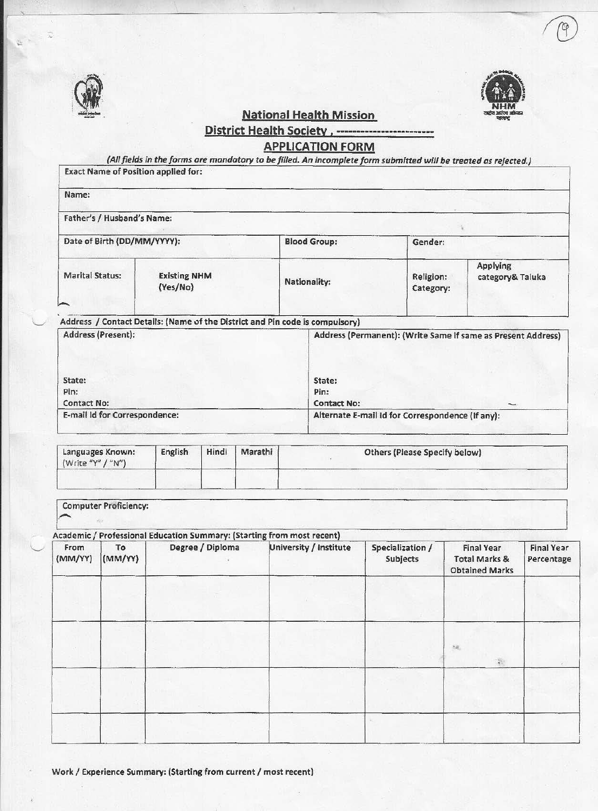

 $\overline{\phantom{a}}$ 



National Health Mission

## District Health Society , ...... \_\_\_\_\_\_\_\_\_\_\_\_\_\_\_\_ \_\_ APPLICATION FORM

*(All fields In the forms are mandatory to* be *filled. An incomplete form submitted* will *be treated as rejected.)* 

| Name:                                               |                                 |       |         |              |                                |                                                  |                                                              |
|-----------------------------------------------------|---------------------------------|-------|---------|--------------|--------------------------------|--------------------------------------------------|--------------------------------------------------------------|
| Father's / Husband's Name:                          |                                 |       |         |              |                                |                                                  |                                                              |
| Date of Birth (DD/MM/YYYY):                         |                                 |       |         |              | <b>Blood Group:</b><br>Gender: |                                                  |                                                              |
| <b>Marital Status:</b>                              | <b>Existing NHM</b><br>(Yes/No) |       |         | Nationality: |                                | Religion:<br>Category:                           | Applying<br>category& Taluka                                 |
| Address (Present):                                  |                                 |       |         |              |                                |                                                  | Address (Permanent): (Write Same if same as Present Address) |
| State:<br>Pin:                                      |                                 |       |         |              | State:<br>Pin:                 |                                                  |                                                              |
| <b>Contact No:</b><br>E-mail Id for Correspondence: |                                 |       |         |              | <b>Contact No:</b>             | Alternate E-mail Id for Correspondence (If any): |                                                              |
| Languages Known:<br>(Write "Y" / "N")               | English                         | Hindi | Marathi |              |                                | Others (Please Specify below)                    |                                                              |
|                                                     |                                 |       |         |              |                                |                                                  |                                                              |

| From<br>(MM/YY) | To<br>(MM/YY) | Degree / Diploma | University / Institute | Specialization /<br>Subjects | <b>Final Year</b><br><b>Total Marks &amp;</b><br><b>Obtained Marks</b> | <b>Final Year</b><br>Percentage |
|-----------------|---------------|------------------|------------------------|------------------------------|------------------------------------------------------------------------|---------------------------------|
|                 |               |                  |                        |                              |                                                                        |                                 |
|                 |               |                  |                        |                              | $\gamma_{\rm eff}$<br>数                                                |                                 |
|                 |               |                  |                        |                              |                                                                        |                                 |
|                 |               |                  |                        |                              |                                                                        |                                 |

Work / Experience Summary: (Starting from current / most recent)